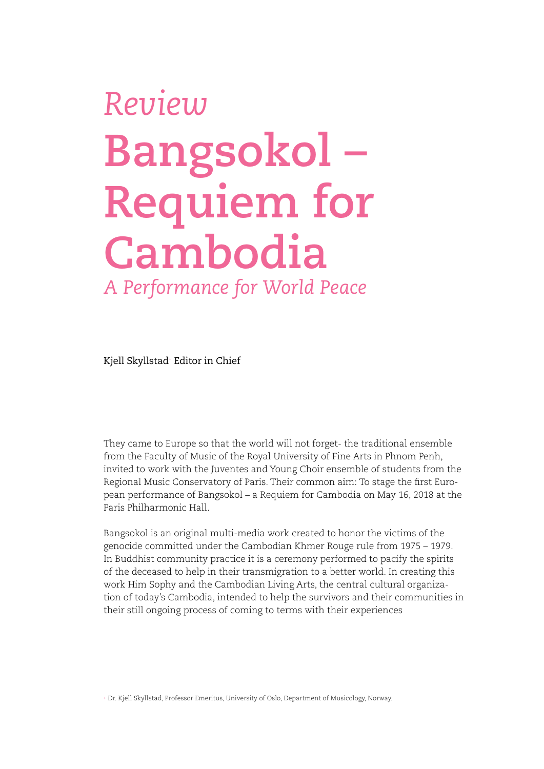## *Review* **Bangsokol – Requiem for Cambodia** *A Performance for World Peace*

Kjell Skyllstad+ Editor in Chief

They came to Europe so that the world will not forget- the traditional ensemble from the Faculty of Music of the Royal University of Fine Arts in Phnom Penh, invited to work with the Juventes and Young Choir ensemble of students from the Regional Music Conservatory of Paris. Their common aim: To stage the first European performance of Bangsokol – a Requiem for Cambodia on May 16, 2018 at the Paris Philharmonic Hall.

Bangsokol is an original multi-media work created to honor the victims of the genocide committed under the Cambodian Khmer Rouge rule from 1975 – 1979. In Buddhist community practice it is a ceremony performed to pacify the spirits of the deceased to help in their transmigration to a better world. In creating this work Him Sophy and the Cambodian Living Arts, the central cultural organization of today's Cambodia, intended to help the survivors and their communities in their still ongoing process of coming to terms with their experiences

+ Dr. Kjell Skyllstad, Professor Emeritus, University of Oslo, Department of Musicology, Norway.